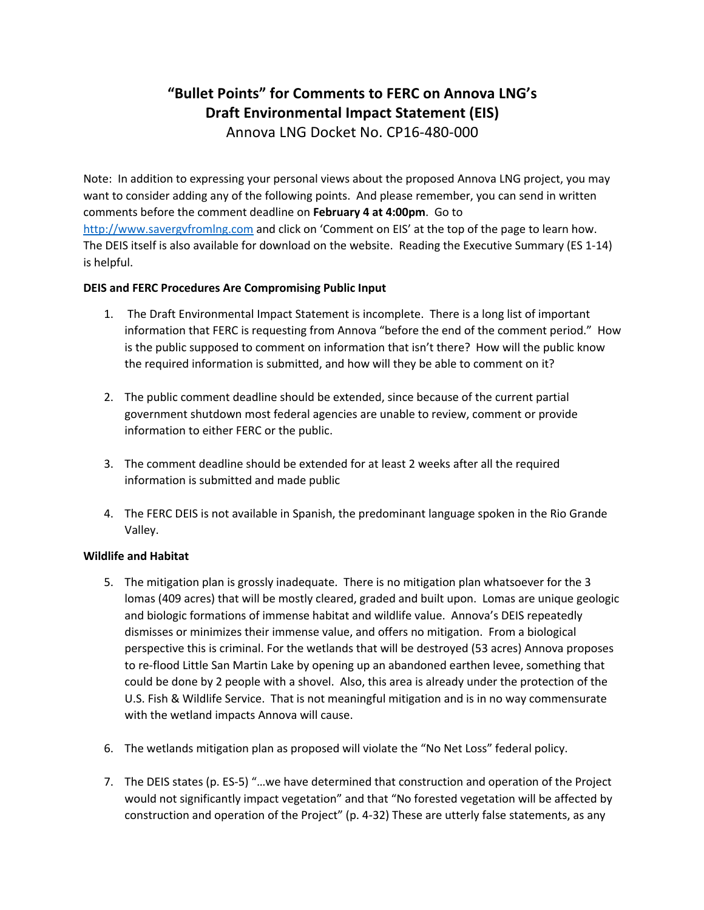# **"Bullet Points" for Comments to FERC on Annova LNG's Draft Environmental Impact Statement (EIS)**

Annova LNG Docket No. CP16-480-000

Note: In addition to expressing your personal views about the proposed Annova LNG project, you may want to consider adding any of the following points. And please remember, you can send in written comments before the comment deadline on **February 4 at 4:00pm**. Go to http://www.savergvfromlng.com and click on 'Comment on EIS' at the top of the page to learn how. The DEIS itself is also available for download on the website. Reading the Executive Summary (ES 1-14) is helpful.

# **DEIS and FERC Procedures Are Compromising Public Input**

- 1. The Draft Environmental Impact Statement is incomplete. There is a long list of important information that FERC is requesting from Annova "before the end of the comment period." How is the public supposed to comment on information that isn't there? How will the public know the required information is submitted, and how will they be able to comment on it?
- 2. The public comment deadline should be extended, since because of the current partial government shutdown most federal agencies are unable to review, comment or provide information to either FERC or the public.
- 3. The comment deadline should be extended for at least 2 weeks after all the required information is submitted and made public
- 4. The FERC DEIS is not available in Spanish, the predominant language spoken in the Rio Grande Valley.

## **Wildlife and Habitat**

- 5. The mitigation plan is grossly inadequate. There is no mitigation plan whatsoever for the 3 lomas (409 acres) that will be mostly cleared, graded and built upon. Lomas are unique geologic and biologic formations of immense habitat and wildlife value. Annova's DEIS repeatedly dismisses or minimizes their immense value, and offers no mitigation. From a biological perspective this is criminal. For the wetlands that will be destroyed (53 acres) Annova proposes to re-flood Little San Martin Lake by opening up an abandoned earthen levee, something that could be done by 2 people with a shovel. Also, this area is already under the protection of the U.S. Fish & Wildlife Service. That is not meaningful mitigation and is in no way commensurate with the wetland impacts Annova will cause.
- 6. The wetlands mitigation plan as proposed will violate the "No Net Loss" federal policy.
- 7. The DEIS states (p. ES-5) "…we have determined that construction and operation of the Project would not significantly impact vegetation" and that "No forested vegetation will be affected by construction and operation of the Project" (p. 4-32) These are utterly false statements, as any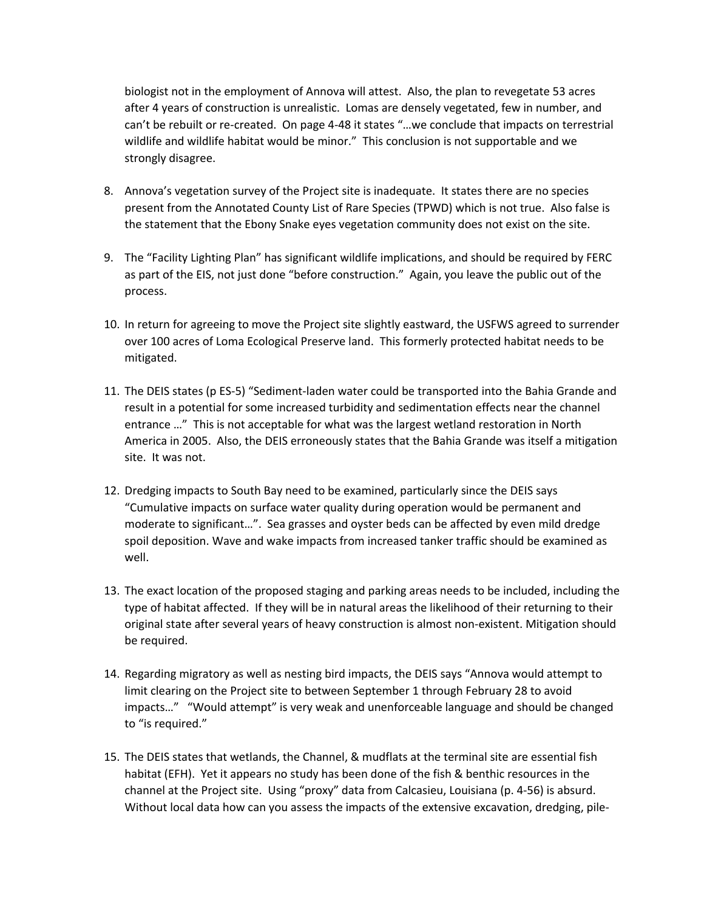biologist not in the employment of Annova will attest. Also, the plan to revegetate 53 acres after 4 years of construction is unrealistic. Lomas are densely vegetated, few in number, and can't be rebuilt or re-created. On page 4-48 it states "…we conclude that impacts on terrestrial wildlife and wildlife habitat would be minor." This conclusion is not supportable and we strongly disagree.

- 8. Annova's vegetation survey of the Project site is inadequate. It states there are no species present from the Annotated County List of Rare Species (TPWD) which is not true. Also false is the statement that the Ebony Snake eyes vegetation community does not exist on the site.
- 9. The "Facility Lighting Plan" has significant wildlife implications, and should be required by FERC as part of the EIS, not just done "before construction." Again, you leave the public out of the process.
- 10. In return for agreeing to move the Project site slightly eastward, the USFWS agreed to surrender over 100 acres of Loma Ecological Preserve land. This formerly protected habitat needs to be mitigated.
- 11. The DEIS states (p ES-5) "Sediment-laden water could be transported into the Bahia Grande and result in a potential for some increased turbidity and sedimentation effects near the channel entrance …" This is not acceptable for what was the largest wetland restoration in North America in 2005. Also, the DEIS erroneously states that the Bahia Grande was itself a mitigation site. It was not.
- 12. Dredging impacts to South Bay need to be examined, particularly since the DEIS says "Cumulative impacts on surface water quality during operation would be permanent and moderate to significant…". Sea grasses and oyster beds can be affected by even mild dredge spoil deposition. Wave and wake impacts from increased tanker traffic should be examined as well.
- 13. The exact location of the proposed staging and parking areas needs to be included, including the type of habitat affected. If they will be in natural areas the likelihood of their returning to their original state after several years of heavy construction is almost non-existent. Mitigation should be required.
- 14. Regarding migratory as well as nesting bird impacts, the DEIS says "Annova would attempt to limit clearing on the Project site to between September 1 through February 28 to avoid impacts…" "Would attempt" is very weak and unenforceable language and should be changed to "is required."
- 15. The DEIS states that wetlands, the Channel, & mudflats at the terminal site are essential fish habitat (EFH). Yet it appears no study has been done of the fish & benthic resources in the channel at the Project site. Using "proxy" data from Calcasieu, Louisiana (p. 4-56) is absurd. Without local data how can you assess the impacts of the extensive excavation, dredging, pile-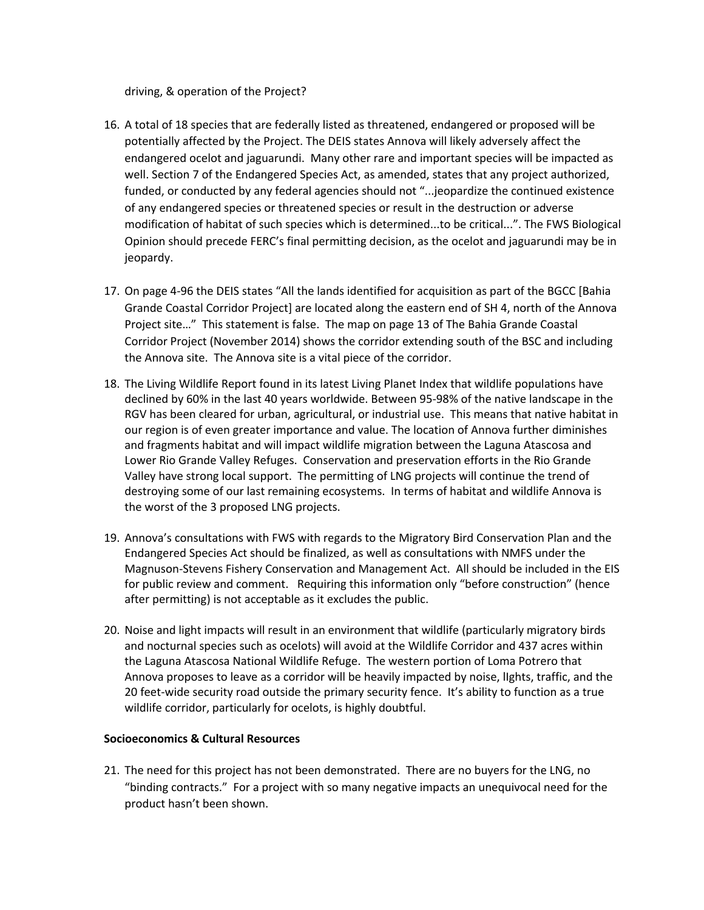#### driving, & operation of the Project?

- 16. A total of 18 species that are federally listed as threatened, endangered or proposed will be potentially affected by the Project. The DEIS states Annova will likely adversely affect the endangered ocelot and jaguarundi. Many other rare and important species will be impacted as well. Section 7 of the Endangered Species Act, as amended, states that any project authorized, funded, or conducted by any federal agencies should not "...jeopardize the continued existence of any endangered species or threatened species or result in the destruction or adverse modification of habitat of such species which is determined...to be critical...". The FWS Biological Opinion should precede FERC's final permitting decision, as the ocelot and jaguarundi may be in jeopardy.
- 17. On page 4-96 the DEIS states "All the lands identified for acquisition as part of the BGCC [Bahia Grande Coastal Corridor Project] are located along the eastern end of SH 4, north of the Annova Project site…" This statement is false. The map on page 13 of The Bahia Grande Coastal Corridor Project (November 2014) shows the corridor extending south of the BSC and including the Annova site. The Annova site is a vital piece of the corridor.
- 18. The Living Wildlife Report found in its latest Living Planet Index that wildlife populations have declined by 60% in the last 40 years worldwide. Between 95-98% of the native landscape in the RGV has been cleared for urban, agricultural, or industrial use. This means that native habitat in our region is of even greater importance and value. The location of Annova further diminishes and fragments habitat and will impact wildlife migration between the Laguna Atascosa and Lower Rio Grande Valley Refuges. Conservation and preservation efforts in the Rio Grande Valley have strong local support. The permitting of LNG projects will continue the trend of destroying some of our last remaining ecosystems. In terms of habitat and wildlife Annova is the worst of the 3 proposed LNG projects.
- 19. Annova's consultations with FWS with regards to the Migratory Bird Conservation Plan and the Endangered Species Act should be finalized, as well as consultations with NMFS under the Magnuson-Stevens Fishery Conservation and Management Act. All should be included in the EIS for public review and comment. Requiring this information only "before construction" (hence after permitting) is not acceptable as it excludes the public.
- 20. Noise and light impacts will result in an environment that wildlife (particularly migratory birds and nocturnal species such as ocelots) will avoid at the Wildlife Corridor and 437 acres within the Laguna Atascosa National Wildlife Refuge. The western portion of Loma Potrero that Annova proposes to leave as a corridor will be heavily impacted by noise, lIghts, traffic, and the 20 feet-wide security road outside the primary security fence. It's ability to function as a true wildlife corridor, particularly for ocelots, is highly doubtful.

# **Socioeconomics & Cultural Resources**

21. The need for this project has not been demonstrated. There are no buyers for the LNG, no "binding contracts." For a project with so many negative impacts an unequivocal need for the product hasn't been shown.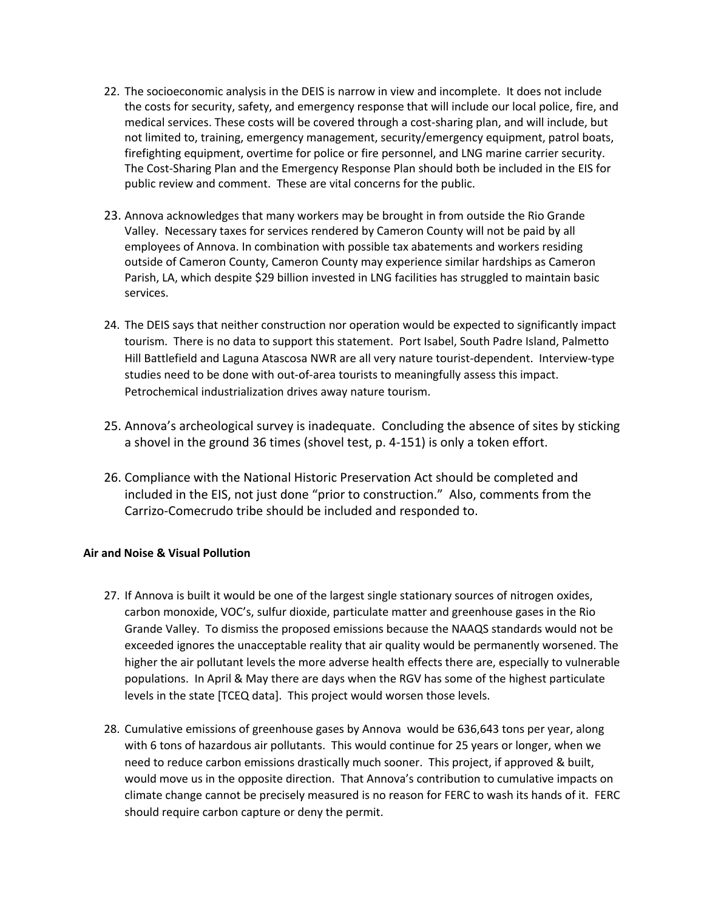- 22. The socioeconomic analysis in the DEIS is narrow in view and incomplete. It does not include the costs for security, safety, and emergency response that will include our local police, fire, and medical services. These costs will be covered through a cost-sharing plan, and will include, but not limited to, training, emergency management, security/emergency equipment, patrol boats, firefighting equipment, overtime for police or fire personnel, and LNG marine carrier security. The Cost-Sharing Plan and the Emergency Response Plan should both be included in the EIS for public review and comment. These are vital concerns for the public.
- 23. Annova acknowledges that many workers may be brought in from outside the Rio Grande Valley. Necessary taxes for services rendered by Cameron County will not be paid by all employees of Annova. In combination with possible tax abatements and workers residing outside of Cameron County, Cameron County may experience similar hardships as Cameron Parish, LA, which despite \$29 billion invested in LNG facilities has struggled to maintain basic services.
- 24. The DEIS says that neither construction nor operation would be expected to significantly impact tourism. There is no data to support this statement. Port Isabel, South Padre Island, Palmetto Hill Battlefield and Laguna Atascosa NWR are all very nature tourist-dependent. Interview-type studies need to be done with out-of-area tourists to meaningfully assess this impact. Petrochemical industrialization drives away nature tourism.
- 25. Annova's archeological survey is inadequate. Concluding the absence of sites by sticking a shovel in the ground 36 times (shovel test, p. 4-151) is only a token effort.
- 26. Compliance with the National Historic Preservation Act should be completed and included in the EIS, not just done "prior to construction." Also, comments from the Carrizo-Comecrudo tribe should be included and responded to.

## **Air and Noise & Visual Pollution**

- 27. If Annova is built it would be one of the largest single stationary sources of nitrogen oxides, carbon monoxide, VOC's, sulfur dioxide, particulate matter and greenhouse gases in the Rio Grande Valley. To dismiss the proposed emissions because the NAAQS standards would not be exceeded ignores the unacceptable reality that air quality would be permanently worsened. The higher the air pollutant levels the more adverse health effects there are, especially to vulnerable populations. In April & May there are days when the RGV has some of the highest particulate levels in the state [TCEQ data]. This project would worsen those levels.
- 28. Cumulative emissions of greenhouse gases by Annova would be 636,643 tons per year, along with 6 tons of hazardous air pollutants. This would continue for 25 years or longer, when we need to reduce carbon emissions drastically much sooner. This project, if approved & built, would move us in the opposite direction. That Annova's contribution to cumulative impacts on climate change cannot be precisely measured is no reason for FERC to wash its hands of it. FERC should require carbon capture or deny the permit.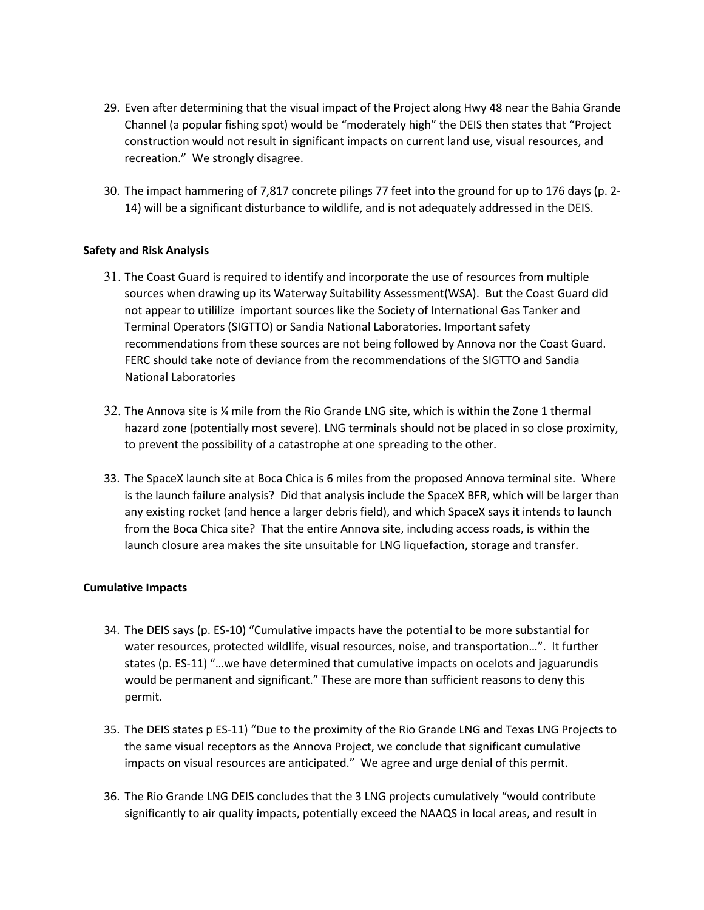- 29. Even after determining that the visual impact of the Project along Hwy 48 near the Bahia Grande Channel (a popular fishing spot) would be "moderately high" the DEIS then states that "Project construction would not result in significant impacts on current land use, visual resources, and recreation." We strongly disagree.
- 30. The impact hammering of 7,817 concrete pilings 77 feet into the ground for up to 176 days (p. 2- 14) will be a significant disturbance to wildlife, and is not adequately addressed in the DEIS.

# **Safety and Risk Analysis**

- 31. The Coast Guard is required to identify and incorporate the use of resources from multiple sources when drawing up its Waterway Suitability Assessment(WSA). But the Coast Guard did not appear to utililize important sources like the Society of International Gas Tanker and Terminal Operators (SIGTTO) or Sandia National Laboratories. Important safety recommendations from these sources are not being followed by Annova nor the Coast Guard. FERC should take note of deviance from the recommendations of the SIGTTO and Sandia National Laboratories
- 32. The Annova site is ¼ mile from the Rio Grande LNG site, which is within the Zone 1 thermal hazard zone (potentially most severe). LNG terminals should not be placed in so close proximity, to prevent the possibility of a catastrophe at one spreading to the other.
- 33. The SpaceX launch site at Boca Chica is 6 miles from the proposed Annova terminal site. Where is the launch failure analysis? Did that analysis include the SpaceX BFR, which will be larger than any existing rocket (and hence a larger debris field), and which SpaceX says it intends to launch from the Boca Chica site? That the entire Annova site, including access roads, is within the launch closure area makes the site unsuitable for LNG liquefaction, storage and transfer.

## **Cumulative Impacts**

- 34. The DEIS says (p. ES-10) "Cumulative impacts have the potential to be more substantial for water resources, protected wildlife, visual resources, noise, and transportation…". It further states (p. ES-11) "…we have determined that cumulative impacts on ocelots and jaguarundis would be permanent and significant." These are more than sufficient reasons to deny this permit.
- 35. The DEIS states p ES-11) "Due to the proximity of the Rio Grande LNG and Texas LNG Projects to the same visual receptors as the Annova Project, we conclude that significant cumulative impacts on visual resources are anticipated." We agree and urge denial of this permit.
- 36. The Rio Grande LNG DEIS concludes that the 3 LNG projects cumulatively "would contribute significantly to air quality impacts, potentially exceed the NAAQS in local areas, and result in